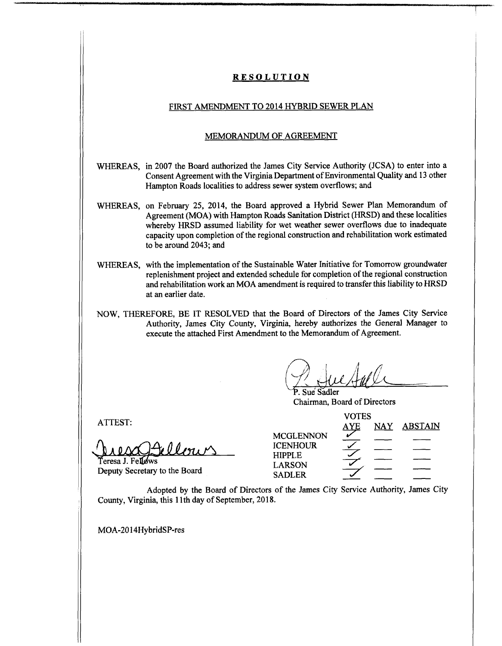# **RESOLUTION**

### FIRST AMENDMENT TO 2014 HYBRID SEWER PLAN

#### MEMORANDUM OF AGREEMENT

- WHEREAS, in 2007 the Board authorized the James City Service Authority (JCSA) to enter into a Consent Agreement with the Virginia Department of Environmental Quality and 13 other Hampton Roads localities to address sewer system overflows; and
- WHEREAS, on February 25, 2014, the Board approved a Hybrid Sewer Plan Memorandum of Agreement (MOA) with Hampton Roads Sanitation District (HRSD) and these localities whereby HRSD assumed liability for wet weather sewer overflows due to inadequate capacity upon completion of the regional construction and rehabilitation work estimated to be around 2043; and
- WHEREAS, with the implementation of the Sustainable Water Initiative for Tomorrow groundwater replenishment project and extended schedule for completion of the regional construction and rehabilitation work an MOA amendment is required to transfer this liability to HRSD at an earlier date.
- NOW, THEREFORE, BE IT RESOLVED that the Board of Directors of the James City Service Authority, James City County, Virginia, hereby authorizes the General Manager to execute the attached First Amendment to the Memorandum of Agreement.

**.** *4* **/**

**Sue Sadler** Chairman, Board of Directors

llour

Teresa J. Fellows Deputy Secretary to the Board **7^**

| ATTEST:                       | <b>VOTES</b>     |            |     |                |
|-------------------------------|------------------|------------|-----|----------------|
|                               |                  | <u>AYE</u> | NAY | <b>ABSTAIN</b> |
|                               | <b>MCGLENNON</b> |            |     |                |
| $A$ ellenen                   | <b>ICENHOUR</b>  |            |     |                |
| NARACTE                       | <b>HIPPLE</b>    |            |     |                |
| Deputy Secretary to the Board | <b>LARSON</b>    |            |     |                |
|                               | <b>SADLER</b>    |            |     |                |

Adopted by the Board of Directors of the James City Service Authority, James City County, Virginia, this 11th day of September, 2018.

MOA-2014HybridSP-res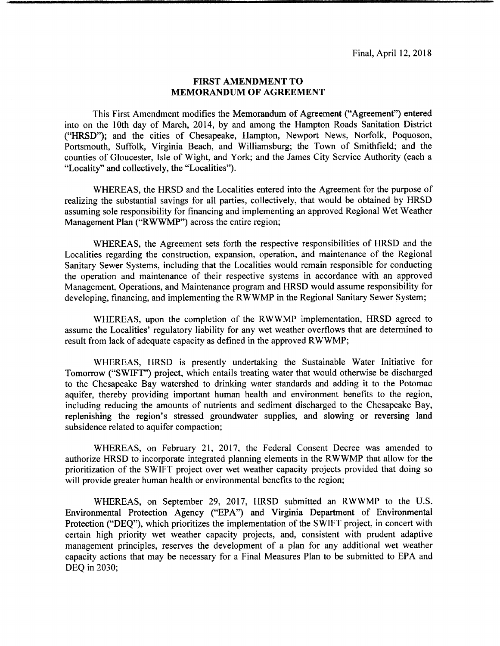### **FIRST AMENDMENT TO MEMORANDUM OF AGREEMENT**

This First Amendment modifies the Memorandum of Agreement ("Agreement") entered into on the 10th day of March, 2014, by and among the Hampton Roads Sanitation District ("HRSD"); and the cities of Chesapeake, Hampton, Newport News, Norfolk, Poquoson, Portsmouth, Suffolk, Virginia Beach, and Williamsburg; the Town of Smithfield; and the counties of Gloucester, Isle of Wight, and York; and the James City Service Authority (each a "Locality" and collectively, the "Localities").

WHEREAS, the HRSD and the Localities entered into the Agreement for the purpose of realizing the substantial savings for all parties, collectively, that would be obtained by HRSD assuming sole responsibility for financing and implementing an approved Regional Wet Weather Management Plan ("RWWMP") across the entire region;

WHEREAS, the Agreement sets forth the respective responsibilities of HRSD and the Localities regarding the construction, expansion, operation, and maintenance of the Regional Sanitary Sewer Systems, including that the Localities would remain responsible for conducting the operation and maintenance of their respective systems in accordance with an approved Management, Operations, and Maintenance program and HRSD would assume responsibility for developing, financing, and implementing the RWWMP in the Regional Sanitary Sewer System;

WHEREAS, upon the completion of the RWWMP implementation, HRSD agreed to assume the Localities' regulatory liability for any wet weather overflows that are determined to result from lack of adequate capacity as defined in the approved RWWMP;

WHEREAS, HRSD is presently undertaking the Sustainable Water Initiative for Tomorrow ("SWIFT") project, which entails treating water that would otherwise be discharged to the Chesapeake Bay watershed to drinking water standards and adding it to the Potomac aquifer, thereby providing important human health and environment benefits to the region, including reducing the amounts of nutrients and sediment discharged to the Chesapeake Bay, replenishing the region's stressed groundwater supplies, and slowing or reversing land subsidence related to aquifer compaction;

WHEREAS, on February 21, 2017, the Federal Consent Decree was amended to authorize HRSD to incorporate integrated planning elements in the RWWMP that allow for the prioritization of the SWIFT project over wet weather capacity projects provided that doing so will provide greater human health or environmental benefits to the region;

WHEREAS, on September 29, 2017, HRSD submitted an RWWMP to the U.S. Environmental Protection Agency ("EPA") and Virginia Department of Environmental Protection ("DEQ"), which prioritizes the implementation of the SWIFT project, in concert with certain high priority wet weather capacity projects, and, consistent with prudent adaptive management principles, reserves the development of a plan for any additional wet weather capacity actions that may be necessary for a Final Measures Plan to be submitted to EPA and DEQ in 2030;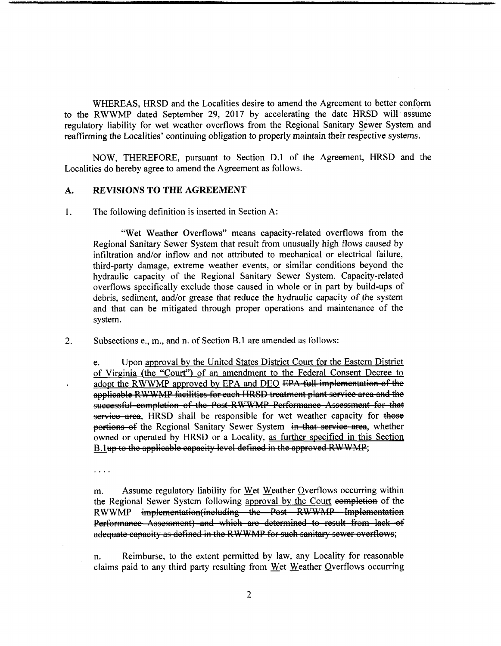WHEREAS, HRSD and the Localities desire to amend the Agreement to better conform to the RWWMP dated September 29, 2017 by accelerating the date HRSD will assume regulatory liability for wet weather overflows from the Regional Sanitary Sewer System and reaffirming the Localities' continuing obligation to properly maintain their respective systems.

NOW, THEREFORE, pursuant to Section D.l of the Agreement, HRSD and the Localities do hereby agree to amend the Agreement as follows.

#### **A. REVISIONS TO THE AGREEMENT**

1. The following definition is inserted in Section A:

"Wet Weather Overflows" means capacity-related overflows from the Regional Sanitary Sewer System that result from unusually high flows caused by infiltration and/or inflow and not attributed to mechanical or electrical failure, third-party damage, extreme weather events, or similar conditions beyond the hydraulic capacity of the Regional Sanitary Sewer System. Capacity-related overflows specifically exclude those caused in whole or in part by build-ups of debris, sediment, and/or grease that reduce the hydraulic capacity of the system and that can be mitigated through proper operations and maintenance of the system.

**2.** Subsections e., m., and n. of Section B.l are amended as follows:

Upon approval by the United States District Court for the Eastern District of Virginia (the "Court") of an amendment to the Federal Consent Decree to adopt the RWWMP approved bv EPA and DEO EPA full implementation of the applicable RWWMP facilities for each-HRSD treatment plant service area and the successful completion of the Post-RWWMP Performance Assessment for that service area, HRSD shall be responsible for wet weather capacity for those portions of the Regional Sanitary Sewer System in that service area, whether owned or operated by HRSD or a Locality, as further specified in this Section B. lup to the applicable capacity level defined in the approved RWWMP; e.

 $\overline{a}$   $\overline{a}$   $\overline{a}$   $\overline{a}$ 

Assume regulatory liability for Wet Weather Overflows occurring within the Regional Sewer System following approval by the Court completion of the RWWMP implementation(inoluding—the—Post—RWWMP—Implementation Performance Assessment) and which are determined to result from lack of adequate capacity as defined in the RWWMP for such sanitary sewer overflows; m.

Reimburse, to the extent permitted by law, any Locality for reasonable claims paid to any third party resulting from Wet Weather Overflows occurring n.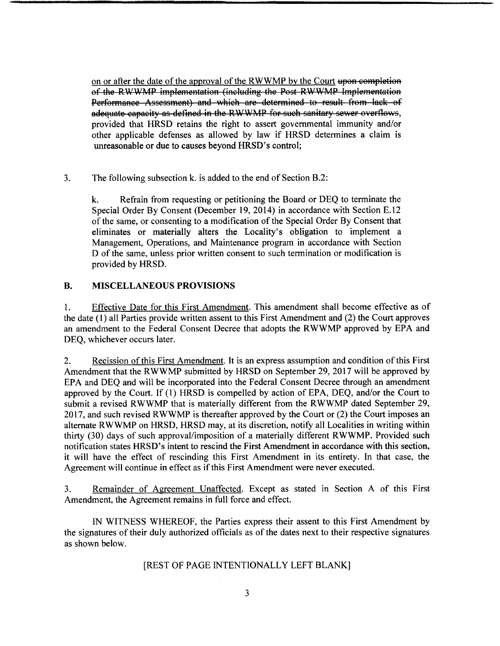on or after the date of the approval of the RWWMP by the Court upon completion of the RWWMP implementation (including the Post RWWMP Implementation Performance Assessment) and which are determined to result from lack of adequate capacity as defined in the RWWMP for such sanitary sewer overflows, provided that HRSD retains the right to assert governmental immunity and/or other applicable defenses as allowed by law if HRSD determines a claim is unreasonable or **due** to causes beyond HRSD's control;

**3.** The following subsection k. is added to the end of Section B.2:

Refrain from requesting or petitioning the Board or DEQ to terminate the Special Order By Consent (December 19, 2014) in accordance with Section E.12 of the same, or consenting to a modification of the Special Order By Consent that eliminates or materially alters the Locality's obligation to implement a Management, Operations, and Maintenance program in accordance with Section D of the same, unless prior written consent to such termination or modification is provided by HRSD. **k.**

### **B, MISCELLANEOUS PROVISIONS**

Effective Date for this First Amendment. This amendment shall become effective as of the date (1) all Parties provide written assent to this First Amendment and (2) the Court approves an amendment to the Federal Consent Decree that adopts the RWWMP approved by EPA and DEQ, whichever occurs later. 1.

Recission of this First Amendment. It is an express assumption and condition of this First Amendment that the RWWMP submitted by HRSD on September 29, 2017 will be approved by EPA and DEQ and will be incorporated into the Federal Consent Decree through an amendment approved by the Court. If (1) HRSD is compelled by action of EPA, DEQ, and/or the Court to submit a revised RWWMP that is materially different from the RWWMP dated September 29, 2017, and such revised RWWMP is thereafter approved by the Court or (2) the Court imposes an alternate RWWMP on HRSD, HRSD may, at its discretion, notify all Localities in writing within thirty (30) days of such approval/imposition of a materially different RWWMP. Provided such notification states HRSD's intent to rescind the First Amendment in accordance with this section, it will have the effect of rescinding this First Amendment in its entirety. In that case, the Agreement will continue in effect as ifthis First Amendment were never executed. **2.**

Remainder of Agreement Unaffected. Except as stated in Section A of this First Amendment, the Agreement remains in full force and effect. **3.**

IN WITNESS WHEREOF, the Parties express their assent to this First Amendment by the signatures of their duly authorized officials as of the dates next to their respective signatures as shown below.

## [REST OF PAGE INTENTIONALLY LEFT BLANK]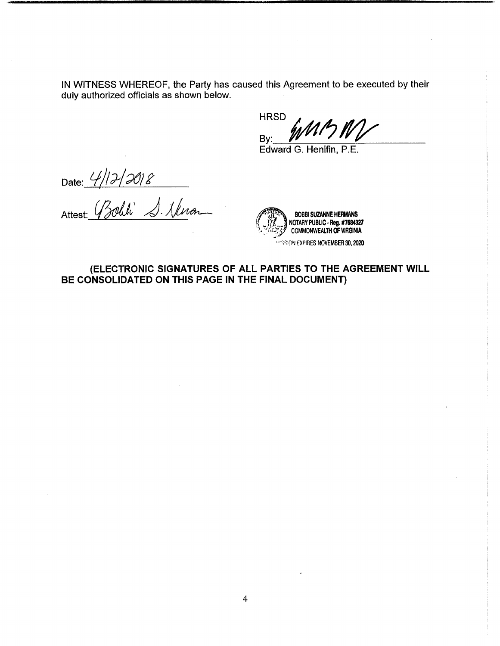IN WITNESS WHEREOF, the Party has caused this Agreement to be executed by their duly authorized officials as shown below.

**HRSD** By:

Edward G. Henifin, P.E.

Date:

Attest:

*/fAW\* **BOBBI SUZANNE HERMANS** *'( M* | NOTARY PUBLIC**-Reg. #7684327** ' $\gg$  COMMONWEALTH OF VIRGINIA **WASSION EXPIRES NOVEMBER 30, 2020** ن معنا

**(ELECTRONIC SIGNATURES OF ALL PARTIES TO THE AGREEMENT WILL BE CONSOLIDATED ON THIS PAGE IN THE FINAL DOCUMENT)**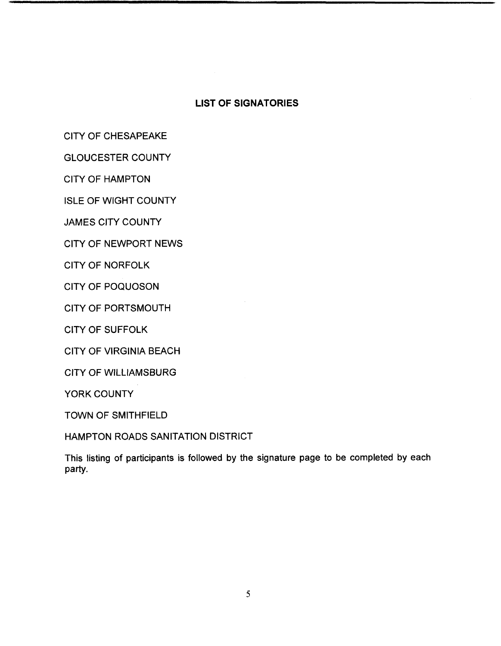## **LIST OF SIGNATORIES**

CITY OF CHESAPEAKE

GLOUCESTER COUNTY

CITY OF HAMPTON

ISLE OF WIGHT COUNTY

JAMES CITY COUNTY

CITY OF NEWPORT NEWS

CITY OF NORFOLK

CITY OF POQUOSON

CITY OF PORTSMOUTH

CITY OF SUFFOLK

CITY OF VIRGINIA BEACH

CITY OF WILLIAMSBURG

YORK COUNTY

TOWN OF SMITHFIELD

HAMPTON ROADS SANITATION DISTRICT

This listing of participants is followed by the signature page to be completed by each party.